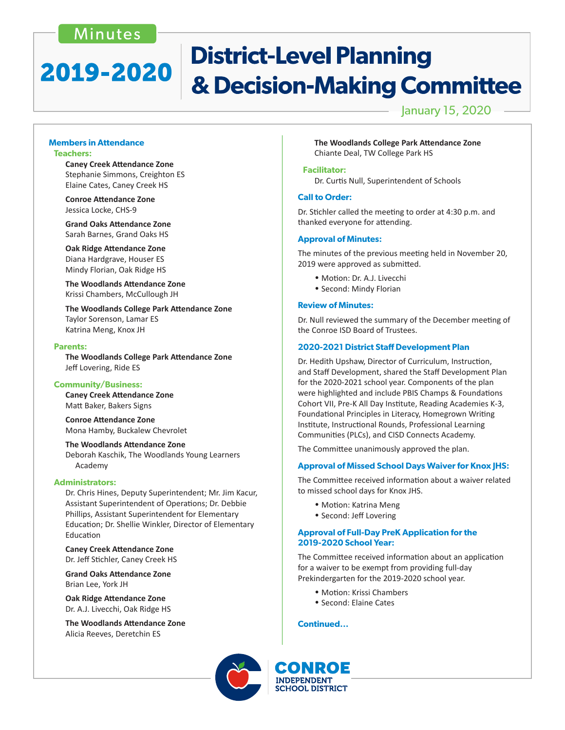## Minutes

# **District-Level Planning** 2019-2020 & Decision-Making Committee

## January 15, 2020

### **Members in Attendance Teachers:**

 **Caney Creek Attendance Zone** Stephanie Simmons, Creighton ES Elaine Cates, Caney Creek HS

 **Conroe Attendance Zone** Jessica Locke, CHS-9

 **Grand Oaks Attendance Zone** Sarah Barnes, Grand Oaks HS

 **Oak Ridge Attendance Zone** Diana Hardgrave, Houser ES Mindy Florian, Oak Ridge HS

 **The Woodlands Attendance Zone** Krissi Chambers, McCullough JH

 **The Woodlands College Park Attendance Zone** Taylor Sorenson, Lamar ES Katrina Meng, Knox JH

#### **Parents:**

 **The Woodlands College Park Attendance Zone** Jeff Lovering, Ride ES

## **Community/Business:**

 **Caney Creek Attendance Zone** Matt Baker, Bakers Signs

 **Conroe Attendance Zone** Mona Hamby, Buckalew Chevrolet

 **The Woodlands Attendance Zone**

Deborah Kaschik, The Woodlands Young Learners Academy

## **Administrators:**

Dr. Chris Hines, Deputy Superintendent; Mr. Jim Kacur, Assistant Superintendent of Operations; Dr. Debbie Phillips, Assistant Superintendent for Elementary Education; Dr. Shellie Winkler, Director of Elementary Education

 **Caney Creek Attendance Zone**  Dr. Jeff Stichler, Caney Creek HS

 **Grand Oaks Attendance Zone** Brian Lee, York JH

**Oak Ridge Attendance Zone**  Dr. A.J. Livecchi, Oak Ridge HS

**The Woodlands Attendance Zone**  Alicia Reeves, Deretchin ES

**The Woodlands College Park Attendance Zone**  Chiante Deal, TW College Park HS

### **Facilitator:**

 Dr. Curtis Null, Superintendent of Schools

## **Call to Order:**

Dr. Stichler called the meeting to order at 4:30 p.m. and thanked everyone for attending.

## **Approval of Minutes:**

The minutes of the previous meeting held in November 20, 2019 were approved as submitted.

- Motion: Dr. A.J. Livecchi
- Second: Mindy Florian

#### **Review of Minutes:**

Dr. Null reviewed the summary of the December meeting of the Conroe ISD Board of Trustees.

## **2020-2021 District Staff Development Plan**

Dr. Hedith Upshaw, Director of Curriculum, Instruction, and Staff Development, shared the Staff Development Plan for the 2020-2021 school year. Components of the plan were highlighted and include PBIS Champs & Foundations Cohort VII, Pre-K All Day Institute, Reading Academies K-3, Foundational Principles in Literacy, Homegrown Writing Institute, Instructional Rounds, Professional Learning Communities (PLCs), and CISD Connects Academy.

The Committee unanimously approved the plan.

## **Approval of Missed School Days Waiver for Knox JHS:**

The Committee received information about a waiver related to missed school days for Knox JHS.

- Motion: Katrina Meng
- Second: Jeff Lovering

### **Approval of Full-Day PreK Application for the 2019-2020 School Year:**

The Committee received information about an application for a waiver to be exempt from providing full-day Prekindergarten for the 2019-2020 school year.

- Motion: Krissi Chambers
- Second: Elaine Cates

## **Continued...**



**SCHOOL DISTRICT**